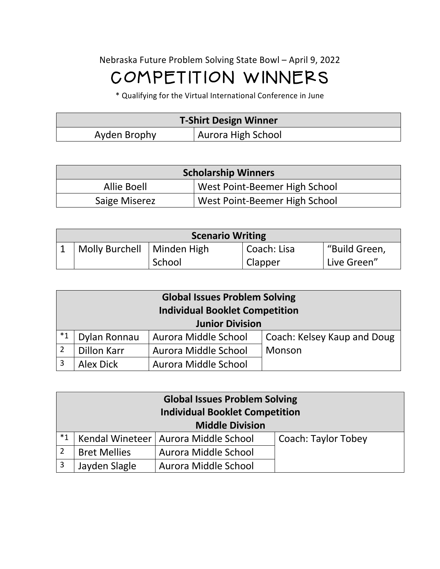## Nebraska Future Problem Solving State Bowl – April 9, 2022 COMPETITION WINNERS

\* Qualifying for the Virtual International Conference in June

| <b>T-Shirt Design Winner</b> |                    |  |
|------------------------------|--------------------|--|
| Ayden Brophy                 | Aurora High School |  |

| <b>Scholarship Winners</b> |                               |  |
|----------------------------|-------------------------------|--|
| Allie Boell                | West Point-Beemer High School |  |
| Saige Miserez              | West Point-Beemer High School |  |

| <b>Scenario Writing</b>      |        |             |               |  |  |
|------------------------------|--------|-------------|---------------|--|--|
| Molly Burchell   Minden High |        | Coach: Lisa | "Build Green, |  |  |
|                              | School | Clapper     | Live Green"   |  |  |

| <b>Global Issues Problem Solving</b><br><b>Individual Booklet Competition</b><br><b>Junior Division</b> |              |                      |                             |
|---------------------------------------------------------------------------------------------------------|--------------|----------------------|-----------------------------|
| $^*1$                                                                                                   | Dylan Ronnau | Aurora Middle School | Coach: Kelsey Kaup and Doug |
| $\overline{2}$<br>Dillon Karr<br>Aurora Middle School                                                   |              |                      | Monson                      |
| $\overline{3}$                                                                                          | Alex Dick    | Aurora Middle School |                             |

|                                             | <b>Global Issues Problem Solving</b><br><b>Individual Booklet Competition</b><br><b>Middle Division</b> |                            |  |  |
|---------------------------------------------|---------------------------------------------------------------------------------------------------------|----------------------------|--|--|
| $*_{1}$                                     | Kendal Wineteer   Aurora Middle School                                                                  | <b>Coach: Taylor Tobey</b> |  |  |
| <b>Bret Mellies</b><br>Aurora Middle School |                                                                                                         |                            |  |  |
| 3                                           | Jayden Slagle                                                                                           | Aurora Middle School       |  |  |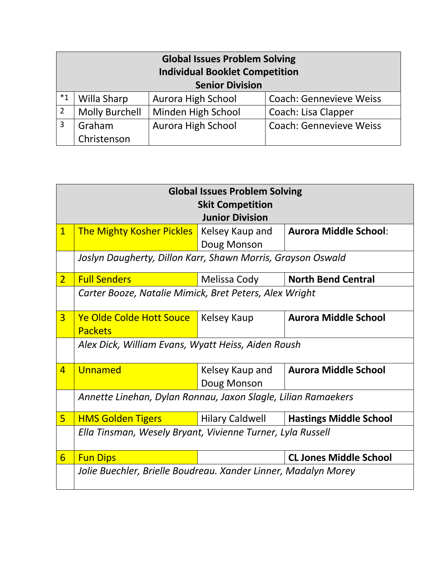| <b>Global Issues Problem Solving</b><br><b>Individual Booklet Competition</b> |             |                        |                                |
|-------------------------------------------------------------------------------|-------------|------------------------|--------------------------------|
|                                                                               |             | <b>Senior Division</b> |                                |
| $*_{1}$                                                                       | Willa Sharp | Aurora High School     | <b>Coach: Gennevieve Weiss</b> |
| <b>Molly Burchell</b><br>2<br>Minden High School                              |             |                        | Coach: Lisa Clapper            |
| Graham<br>3<br>Aurora High School                                             |             |                        | <b>Coach: Gennevieve Weiss</b> |
|                                                                               | Christenson |                        |                                |

|                | <b>Global Issues Problem Solving</b>                           |                        |                               |  |  |  |  |
|----------------|----------------------------------------------------------------|------------------------|-------------------------------|--|--|--|--|
|                | <b>Skit Competition</b>                                        |                        |                               |  |  |  |  |
|                | <b>Junior Division</b>                                         |                        |                               |  |  |  |  |
| $\overline{1}$ | <b>The Mighty Kosher Pickles</b>                               | Kelsey Kaup and        | <b>Aurora Middle School:</b>  |  |  |  |  |
|                |                                                                | Doug Monson            |                               |  |  |  |  |
|                | Joslyn Daugherty, Dillon Karr, Shawn Morris, Grayson Oswald    |                        |                               |  |  |  |  |
| 2 <sup>1</sup> | <b>Full Senders</b>                                            | Melissa Cody           | <b>North Bend Central</b>     |  |  |  |  |
|                | Carter Booze, Natalie Mimick, Bret Peters, Alex Wright         |                        |                               |  |  |  |  |
| $\overline{3}$ | Ye Olde Colde Hott Souce                                       | Kelsey Kaup            | <b>Aurora Middle School</b>   |  |  |  |  |
|                | <b>Packets</b>                                                 |                        |                               |  |  |  |  |
|                | Alex Dick, William Evans, Wyatt Heiss, Aiden Roush             |                        |                               |  |  |  |  |
| $\overline{4}$ | Unnamed                                                        | Kelsey Kaup and        | <b>Aurora Middle School</b>   |  |  |  |  |
|                |                                                                | Doug Monson            |                               |  |  |  |  |
|                | Annette Linehan, Dylan Ronnau, Jaxon Slagle, Lilian Ramaekers  |                        |                               |  |  |  |  |
| 5 <sup>1</sup> | <b>HMS Golden Tigers</b>                                       | <b>Hilary Caldwell</b> | <b>Hastings Middle School</b> |  |  |  |  |
|                | Ella Tinsman, Wesely Bryant, Vivienne Turner, Lyla Russell     |                        |                               |  |  |  |  |
| 6              | <b>Fun Dips</b>                                                |                        | <b>CL Jones Middle School</b> |  |  |  |  |
|                | Jolie Buechler, Brielle Boudreau. Xander Linner, Madalyn Morey |                        |                               |  |  |  |  |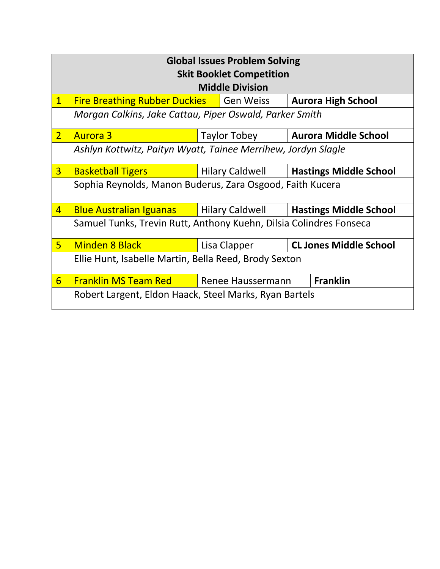|                | <b>Global Issues Problem Solving</b><br><b>Skit Booklet Competition</b><br><b>Middle Division</b> |                                                         |              |  |                               |
|----------------|---------------------------------------------------------------------------------------------------|---------------------------------------------------------|--------------|--|-------------------------------|
| $\mathbf{1}$   | <b>Fire Breathing Rubber Duckies   Gen Weiss</b>                                                  |                                                         |              |  | <b>Aurora High School</b>     |
|                | Morgan Calkins, Jake Cattau, Piper Oswald, Parker Smith                                           |                                                         |              |  |                               |
| 2 <sup>1</sup> | <b>Aurora 3</b>                                                                                   |                                                         | Taylor Tobey |  | <b>Aurora Middle School</b>   |
|                | Ashlyn Kottwitz, Paityn Wyatt, Tainee Merrihew, Jordyn Slagle                                     |                                                         |              |  |                               |
| 3 <sup>1</sup> | <b>Basketball Tigers</b>                                                                          | <b>Hilary Caldwell</b><br><b>Hastings Middle School</b> |              |  |                               |
|                | Sophia Reynolds, Manon Buderus, Zara Osgood, Faith Kucera                                         |                                                         |              |  |                               |
| $\overline{4}$ | <b>Blue Australian Iguanas</b>   Hilary Caldwell                                                  | <b>Hastings Middle School</b>                           |              |  |                               |
|                | Samuel Tunks, Trevin Rutt, Anthony Kuehn, Dilsia Colindres Fonseca                                |                                                         |              |  |                               |
| 5 <sup>1</sup> | <b>Minden 8 Black</b>                                                                             |                                                         | Lisa Clapper |  | <b>CL Jones Middle School</b> |
|                | Ellie Hunt, Isabelle Martin, Bella Reed, Brody Sexton                                             |                                                         |              |  |                               |
| 6              | <b>Franklin MS Team Red</b>                                                                       | <b>Franklin</b><br><b>Note Advised Haussermann</b>      |              |  |                               |
|                | Robert Largent, Eldon Haack, Steel Marks, Ryan Bartels                                            |                                                         |              |  |                               |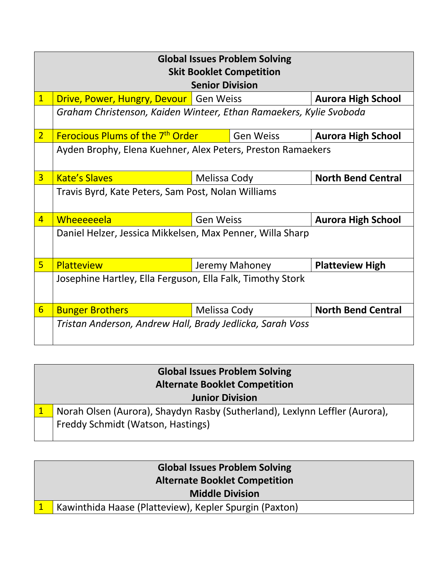|                | <b>Global Issues Problem Solving</b>                               |                                               |                           |  |  |  |
|----------------|--------------------------------------------------------------------|-----------------------------------------------|---------------------------|--|--|--|
|                | <b>Skit Booklet Competition</b><br><b>Senior Division</b>          |                                               |                           |  |  |  |
| $\mathbf{1}$   | Drive, Power, Hungry, Devour   Gen Weiss                           |                                               | <b>Aurora High School</b> |  |  |  |
|                | Graham Christenson, Kaiden Winteer, Ethan Ramaekers, Kylie Svoboda |                                               |                           |  |  |  |
| 2 <sup>1</sup> | <b>Ferocious Plums of the 7<sup>th</sup> Order</b>                 | <b>Gen Weiss</b>                              | <b>Aurora High School</b> |  |  |  |
|                | Ayden Brophy, Elena Kuehner, Alex Peters, Preston Ramaekers        |                                               |                           |  |  |  |
| $\overline{3}$ | <b>Kate's Slaves</b>                                               | Melissa Cody                                  | <b>North Bend Central</b> |  |  |  |
|                | Travis Byrd, Kate Peters, Sam Post, Nolan Williams                 |                                               |                           |  |  |  |
| $\overline{4}$ | Wheeeeeela                                                         | <b>Gen Weiss</b><br><b>Aurora High School</b> |                           |  |  |  |
|                | Daniel Helzer, Jessica Mikkelsen, Max Penner, Willa Sharp          |                                               |                           |  |  |  |
| 5 <sup>1</sup> | <b>Platteview</b>                                                  | Jeremy Mahoney                                | <b>Platteview High</b>    |  |  |  |
|                | Josephine Hartley, Ella Ferguson, Ella Falk, Timothy Stork         |                                               |                           |  |  |  |
| 6              | <b>Bunger Brothers</b>                                             | Melissa Cody                                  | <b>North Bend Central</b> |  |  |  |
|                | Tristan Anderson, Andrew Hall, Brady Jedlicka, Sarah Voss          |                                               |                           |  |  |  |

| <b>Global Issues Problem Solving</b><br><b>Alternate Booklet Competition</b> |  |  |  |
|------------------------------------------------------------------------------|--|--|--|
| <b>Junior Division</b>                                                       |  |  |  |
| Norah Olsen (Aurora), Shaydyn Rasby (Sutherland), Lexlynn Leffler (Aurora),  |  |  |  |
| Freddy Schmidt (Watson, Hastings)                                            |  |  |  |

| <b>Global Issues Problem Solving</b><br><b>Alternate Booklet Competition</b> |
|------------------------------------------------------------------------------|
| <b>Middle Division</b>                                                       |
| Kawinthida Haase (Platteview), Kepler Spurgin (Paxton)                       |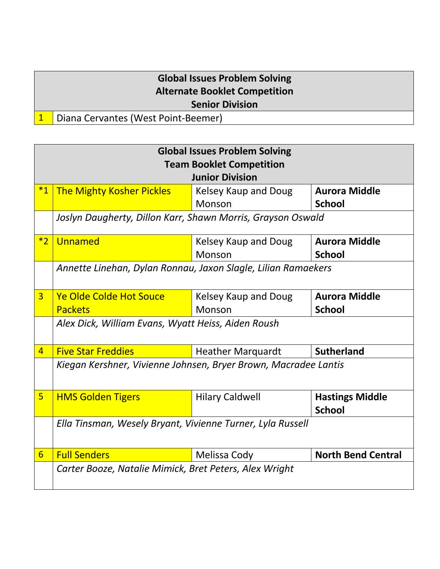## **Global Issues Problem Solving Alternate Booklet Competition Senior Division**

## 1 Diana Cervantes (West Point-Beemer)

|                 | <b>Global Issues Problem Solving</b>                            |                             |                           |  |  |  |
|-----------------|-----------------------------------------------------------------|-----------------------------|---------------------------|--|--|--|
|                 | <b>Team Booklet Competition</b>                                 |                             |                           |  |  |  |
|                 |                                                                 | <b>Junior Division</b>      |                           |  |  |  |
| $*_{1}$         | <b>The Mighty Kosher Pickles</b>                                | <b>Kelsey Kaup and Doug</b> | <b>Aurora Middle</b>      |  |  |  |
|                 |                                                                 | Monson                      | <b>School</b>             |  |  |  |
|                 | Joslyn Daugherty, Dillon Karr, Shawn Morris, Grayson Oswald     |                             |                           |  |  |  |
|                 |                                                                 |                             |                           |  |  |  |
| $*2$            | Unnamed                                                         | Kelsey Kaup and Doug        | <b>Aurora Middle</b>      |  |  |  |
|                 |                                                                 | Monson                      | <b>School</b>             |  |  |  |
|                 | Annette Linehan, Dylan Ronnau, Jaxon Slagle, Lilian Ramaekers   |                             |                           |  |  |  |
|                 |                                                                 |                             |                           |  |  |  |
| $\overline{3}$  | <b>Ye Olde Colde Hot Souce</b>                                  | Kelsey Kaup and Doug        | <b>Aurora Middle</b>      |  |  |  |
|                 | <b>Packets</b>                                                  | Monson                      | <b>School</b>             |  |  |  |
|                 | Alex Dick, William Evans, Wyatt Heiss, Aiden Roush              |                             |                           |  |  |  |
|                 |                                                                 |                             |                           |  |  |  |
| $\overline{4}$  | <b>Five Star Freddies</b>                                       | <b>Heather Marguardt</b>    | <b>Sutherland</b>         |  |  |  |
|                 | Kiegan Kershner, Vivienne Johnsen, Bryer Brown, Macradee Lantis |                             |                           |  |  |  |
|                 |                                                                 |                             |                           |  |  |  |
| 5               | <b>HMS Golden Tigers</b>                                        | <b>Hilary Caldwell</b>      | <b>Hastings Middle</b>    |  |  |  |
|                 |                                                                 |                             | <b>School</b>             |  |  |  |
|                 |                                                                 |                             |                           |  |  |  |
|                 | Ella Tinsman, Wesely Bryant, Vivienne Turner, Lyla Russell      |                             |                           |  |  |  |
|                 |                                                                 |                             |                           |  |  |  |
| $6\overline{6}$ | <b>Full Senders</b>                                             | <b>Melissa Cody</b>         | <b>North Bend Central</b> |  |  |  |
|                 | Carter Booze, Natalie Mimick, Bret Peters, Alex Wright          |                             |                           |  |  |  |
|                 |                                                                 |                             |                           |  |  |  |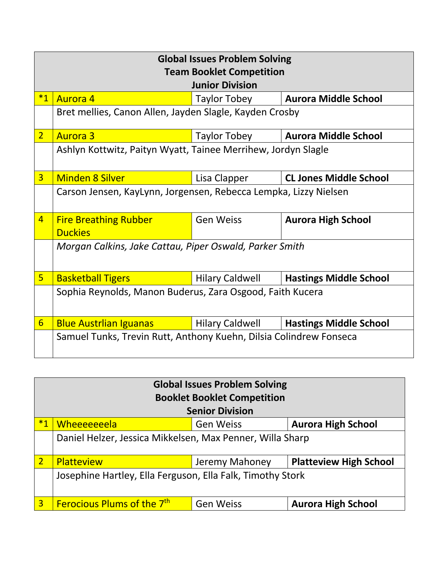| <b>Global Issues Problem Solving</b> |                                                                    |                        |                               |  |  |  |
|--------------------------------------|--------------------------------------------------------------------|------------------------|-------------------------------|--|--|--|
| <b>Team Booklet Competition</b>      |                                                                    |                        |                               |  |  |  |
| <b>Junior Division</b>               |                                                                    |                        |                               |  |  |  |
| $*1$                                 | <b>Aurora 4</b>                                                    | Taylor Tobey           | <b>Aurora Middle School</b>   |  |  |  |
|                                      | Bret mellies, Canon Allen, Jayden Slagle, Kayden Crosby            |                        |                               |  |  |  |
| $\overline{2}$                       | <b>Aurora 3</b>                                                    | Taylor Tobey           | <b>Aurora Middle School</b>   |  |  |  |
|                                      | Ashlyn Kottwitz, Paityn Wyatt, Tainee Merrihew, Jordyn Slagle      |                        |                               |  |  |  |
| $\overline{3}$                       | <b>Minden 8 Silver</b>                                             | Lisa Clapper           | <b>CL Jones Middle School</b> |  |  |  |
|                                      | Carson Jensen, KayLynn, Jorgensen, Rebecca Lempka, Lizzy Nielsen   |                        |                               |  |  |  |
| $\overline{4}$                       | <b>Fire Breathing Rubber</b><br><b>Duckies</b>                     | <b>Gen Weiss</b>       | <b>Aurora High School</b>     |  |  |  |
|                                      | Morgan Calkins, Jake Cattau, Piper Oswald, Parker Smith            |                        |                               |  |  |  |
| 5 <sup>1</sup>                       | <b>Basketball Tigers</b>                                           | <b>Hilary Caldwell</b> | <b>Hastings Middle School</b> |  |  |  |
|                                      | Sophia Reynolds, Manon Buderus, Zara Osgood, Faith Kucera          |                        |                               |  |  |  |
| 6                                    | <b>Blue Austrlian Iguanas</b>                                      | <b>Hilary Caldwell</b> | <b>Hastings Middle School</b> |  |  |  |
|                                      | Samuel Tunks, Trevin Rutt, Anthony Kuehn, Dilsia Colindrew Fonseca |                        |                               |  |  |  |

| <b>Global Issues Problem Solving</b> |                                                            |                  |                               |  |  |  |
|--------------------------------------|------------------------------------------------------------|------------------|-------------------------------|--|--|--|
| <b>Booklet Booklet Competition</b>   |                                                            |                  |                               |  |  |  |
| <b>Senior Division</b>               |                                                            |                  |                               |  |  |  |
| $*_{1}$                              | <b>Wheeeeeeela</b>                                         | <b>Gen Weiss</b> | <b>Aurora High School</b>     |  |  |  |
|                                      | Daniel Helzer, Jessica Mikkelsen, Max Penner, Willa Sharp  |                  |                               |  |  |  |
| $\overline{2}$                       | <b>Platteview</b>                                          | Jeremy Mahoney   | <b>Platteview High School</b> |  |  |  |
|                                      | Josephine Hartley, Ella Ferguson, Ella Falk, Timothy Stork |                  |                               |  |  |  |
| $\overline{3}$                       | Ferocious Plums of the 7 <sup>th</sup>                     | <b>Gen Weiss</b> | <b>Aurora High School</b>     |  |  |  |

L